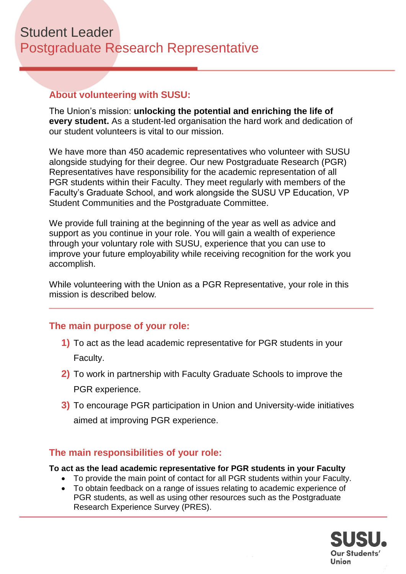## **About volunteering with SUSU:**

The Union's mission: **unlocking the potential and enriching the life of every student.** As a student-led organisation the hard work and dedication of our student volunteers is vital to our mission.

We have more than 450 academic representatives who volunteer with SUSU alongside studying for their degree. Our new Postgraduate Research (PGR) Representatives have responsibility for the academic representation of all PGR students within their Faculty. They meet regularly with members of the Faculty's Graduate School, and work alongside the SUSU VP Education, VP Student Communities and the Postgraduate Committee.

We provide full training at the beginning of the year as well as advice and support as you continue in your role. You will gain a wealth of experience through your voluntary role with SUSU, experience that you can use to improve your future employability while receiving recognition for the work you accomplish.

While volunteering with the Union as a PGR Representative, your role in this mission is described below*.*

### **The main purpose of your role:**

- **1)** To act as the lead academic representative for PGR students in your Faculty.
- **2)** To work in partnership with Faculty Graduate Schools to improve the PGR experience.
- **3)** To encourage PGR participation in Union and University-wide initiatives aimed at improving PGR experience.

### **The main responsibilities of your role:**

**To act as the lead academic representative for PGR students in your Faculty**

- To provide the main point of contact for all PGR students within your Faculty.
- To obtain feedback on a range of issues relating to academic experience of PGR students, as well as using other resources such as the Postgraduate Research Experience Survey (PRES).

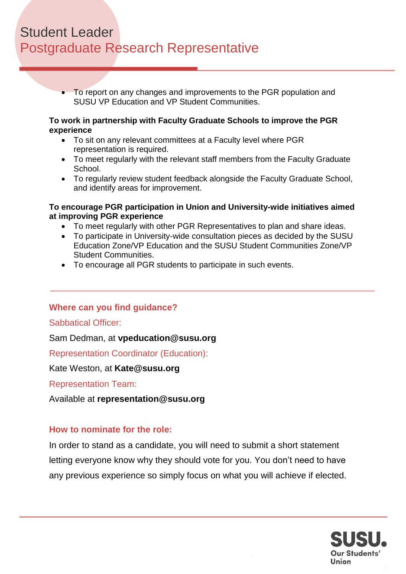# Student Leader Postgraduate Research Representative

• To report on any changes and improvements to the PGR population and SUSU VP Education and VP Student Communities.

#### **To work in partnership with Faculty Graduate Schools to improve the PGR experience**

- To sit on any relevant committees at a Faculty level where PGR representation is required.
- To meet regularly with the relevant staff members from the Faculty Graduate School.
- To regularly review student feedback alongside the Faculty Graduate School, and identify areas for improvement.

#### **To encourage PGR participation in Union and University-wide initiatives aimed at improving PGR experience**

- To meet regularly with other PGR Representatives to plan and share ideas.
- To participate in University-wide consultation pieces as decided by the SUSU Education Zone/VP Education and the SUSU Student Communities Zone/VP Student Communities.
- To encourage all PGR students to participate in such events.

## **Where can you find guidance?**

### Sabbatical Officer:

Sam Dedman, at **vpeducation@susu.org**

Representation Coordinator (Education):

Kate Weston, at **Kate@susu.org**

Representation Team:

Available at **representation@susu.org**

### **How to nominate for the role:**

In order to stand as a candidate, you will need to submit a short statement letting everyone know why they should vote for you. You don't need to have any previous experience so simply focus on what you will achieve if elected.

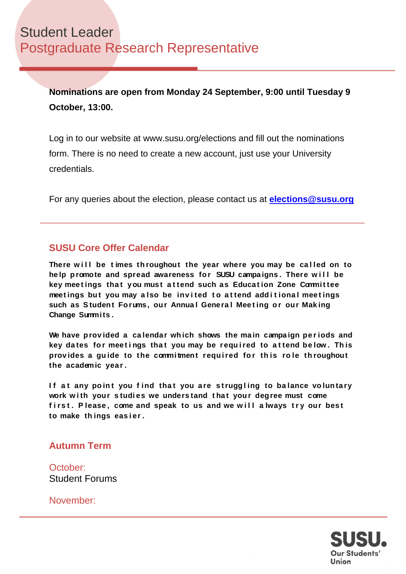**Nominations are open from Monday 24 September, 9:00 until Tuesday 9 October, 13:00.** 

Log in to our website at www.susu.org/elections and fill out the nominations form. There is no need to create a new account, just use your University credentials.

For any queries about the election, please contact us at **[elections@susu.org](mailto:elections@susu.org)**

## **SUSU Core Offer Calendar**

There will be times throughout the year where you may be called on to he lp promote and spread awareness for SUSU campaigns. There will be **key mee t ings tha t you must a t tend such as Educa t ion Zone Commit tee meet ings bu t you may a lso be inv i ted t o a t tend add i t iona l mee t ings**  such as Student Forums, our Annual General Meeting or our Making **Change Summits.** 

We have provided a calendar which shows the main campaign periods and key dates for meetings that you may be required to attend below. This **prov ides a gu ide to the commi tment requ i red fo r th is ro le th roughout the academic year .**

If at any point you find that you are struggling to balance voluntary work with your studies we understand that your degree must come first. Please, come and speak to us and we will always try our best **to make th ings eas i er .**

### **Autumn Term**

October: Student Forums

November: